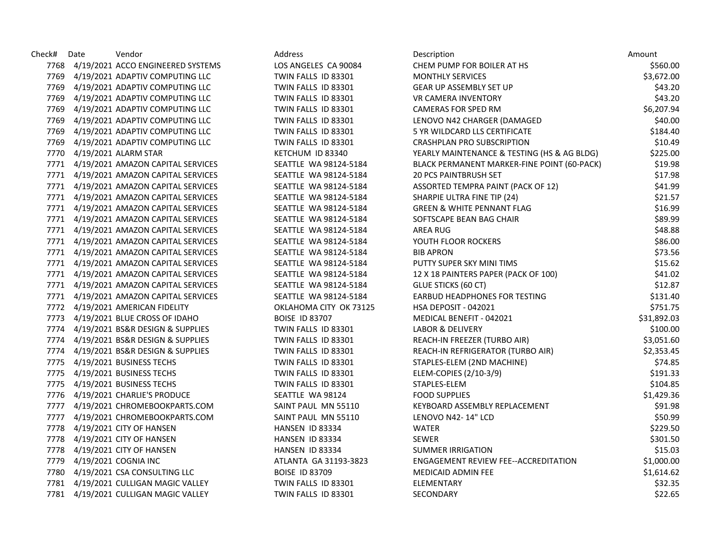| Check# | Date | Vendor                                 | Address                | Description                                 | Amount      |
|--------|------|----------------------------------------|------------------------|---------------------------------------------|-------------|
|        |      | 7768 4/19/2021 ACCO ENGINEERED SYSTEMS | LOS ANGELES CA 90084   | CHEM PUMP FOR BOILER AT HS                  | \$560.00    |
|        |      | 7769 4/19/2021 ADAPTIV COMPUTING LLC   | TWIN FALLS ID 83301    | <b>MONTHLY SERVICES</b>                     | \$3,672.00  |
|        |      | 7769 4/19/2021 ADAPTIV COMPUTING LLC   | TWIN FALLS ID 83301    | <b>GEAR UP ASSEMBLY SET UP</b>              | \$43.20     |
|        |      | 7769 4/19/2021 ADAPTIV COMPUTING LLC   | TWIN FALLS ID 83301    | <b>VR CAMERA INVENTORY</b>                  | \$43.20     |
|        |      | 7769 4/19/2021 ADAPTIV COMPUTING LLC   | TWIN FALLS ID 83301    | CAMERAS FOR SPED RM                         | \$6,207.94  |
|        |      | 7769 4/19/2021 ADAPTIV COMPUTING LLC   | TWIN FALLS ID 83301    | LENOVO N42 CHARGER (DAMAGED                 | \$40.00     |
|        |      | 7769 4/19/2021 ADAPTIV COMPUTING LLC   | TWIN FALLS ID 83301    | 5 YR WILDCARD LLS CERTIFICATE               | \$184.40    |
|        |      | 7769 4/19/2021 ADAPTIV COMPUTING LLC   | TWIN FALLS ID 83301    | CRASHPLAN PRO SUBSCRIPTION                  | \$10.49     |
|        |      | 7770 4/19/2021 ALARM STAR              | KETCHUM ID 83340       | YEARLY MAINTENANCE & TESTING (HS & AG BLDG) | \$225.00    |
|        |      | 7771 4/19/2021 AMAZON CAPITAL SERVICES | SEATTLE WA 98124-5184  | BLACK PERMANENT MARKER-FINE POINT (60-PACK) | \$19.98     |
|        |      | 7771 4/19/2021 AMAZON CAPITAL SERVICES | SEATTLE WA 98124-5184  | <b>20 PCS PAINTBRUSH SET</b>                | \$17.98     |
|        |      | 7771 4/19/2021 AMAZON CAPITAL SERVICES | SEATTLE WA 98124-5184  | ASSORTED TEMPRA PAINT (PACK OF 12)          | \$41.99     |
|        |      | 7771 4/19/2021 AMAZON CAPITAL SERVICES | SEATTLE WA 98124-5184  | SHARPIE ULTRA FINE TIP (24)                 | \$21.57     |
|        |      | 7771 4/19/2021 AMAZON CAPITAL SERVICES | SEATTLE WA 98124-5184  | <b>GREEN &amp; WHITE PENNANT FLAG</b>       | \$16.99     |
|        |      | 7771 4/19/2021 AMAZON CAPITAL SERVICES | SEATTLE WA 98124-5184  | SOFTSCAPE BEAN BAG CHAIR                    | \$89.99     |
|        |      | 7771 4/19/2021 AMAZON CAPITAL SERVICES | SEATTLE WA 98124-5184  | AREA RUG                                    | \$48.88     |
|        |      | 7771 4/19/2021 AMAZON CAPITAL SERVICES | SEATTLE WA 98124-5184  | YOUTH FLOOR ROCKERS                         | \$86.00     |
|        |      | 7771 4/19/2021 AMAZON CAPITAL SERVICES | SEATTLE WA 98124-5184  | <b>BIB APRON</b>                            | \$73.56     |
|        |      | 7771 4/19/2021 AMAZON CAPITAL SERVICES | SEATTLE WA 98124-5184  | PUTTY SUPER SKY MINI TIMS                   | \$15.62     |
|        |      | 7771 4/19/2021 AMAZON CAPITAL SERVICES | SEATTLE WA 98124-5184  | 12 X 18 PAINTERS PAPER (PACK OF 100)        | \$41.02     |
|        |      | 7771 4/19/2021 AMAZON CAPITAL SERVICES | SEATTLE WA 98124-5184  | GLUE STICKS (60 CT)                         | \$12.87     |
|        |      | 7771 4/19/2021 AMAZON CAPITAL SERVICES | SEATTLE WA 98124-5184  | <b>EARBUD HEADPHONES FOR TESTING</b>        | \$131.40    |
|        |      | 7772 4/19/2021 AMERICAN FIDELITY       | OKLAHOMA CITY OK 73125 | <b>HSA DEPOSIT - 042021</b>                 | \$751.75    |
|        |      | 7773 4/19/2021 BLUE CROSS OF IDAHO     | <b>BOISE ID 83707</b>  | MEDICAL BENEFIT - 042021                    | \$31,892.03 |
|        |      | 7774 4/19/2021 BS&R DESIGN & SUPPLIES  | TWIN FALLS ID 83301    | LABOR & DELIVERY                            | \$100.00    |
|        |      | 7774 4/19/2021 BS&R DESIGN & SUPPLIES  | TWIN FALLS ID 83301    | REACH-IN FREEZER (TURBO AIR)                | \$3,051.60  |
|        |      | 7774 4/19/2021 BS&R DESIGN & SUPPLIES  | TWIN FALLS ID 83301    | REACH-IN REFRIGERATOR (TURBO AIR)           | \$2,353.45  |
|        |      | 7775 4/19/2021 BUSINESS TECHS          | TWIN FALLS ID 83301    | STAPLES-ELEM (2ND MACHINE)                  | \$74.85     |
|        |      | 7775 4/19/2021 BUSINESS TECHS          | TWIN FALLS ID 83301    | ELEM-COPIES (2/10-3/9)                      | \$191.33    |
|        |      | 7775 4/19/2021 BUSINESS TECHS          | TWIN FALLS ID 83301    | STAPLES-ELEM                                | \$104.85    |
|        |      | 7776 4/19/2021 CHARLIE'S PRODUCE       | SEATTLE WA 98124       | <b>FOOD SUPPLIES</b>                        | \$1,429.36  |
|        |      | 7777 4/19/2021 CHROMEBOOKPARTS.COM     | SAINT PAUL MN 55110    | KEYBOARD ASSEMBLY REPLACEMENT               | \$91.98     |
|        |      | 7777 4/19/2021 CHROMEBOOKPARTS.COM     | SAINT PAUL MN 55110    | LENOVO N42-14" LCD                          | \$50.99     |
|        |      | 7778 4/19/2021 CITY OF HANSEN          | HANSEN ID 83334        | WATER                                       | \$229.50    |
|        |      | 7778 4/19/2021 CITY OF HANSEN          | HANSEN ID 83334        | <b>SEWER</b>                                | \$301.50    |
|        |      | 7778 4/19/2021 CITY OF HANSEN          | HANSEN ID 83334        | <b>SUMMER IRRIGATION</b>                    | \$15.03     |
|        |      | 7779 4/19/2021 COGNIA INC              | ATLANTA GA 31193-3823  | ENGAGEMENT REVIEW FEE--ACCREDITATION        | \$1,000.00  |
|        |      | 7780 4/19/2021 CSA CONSULTING LLC      | <b>BOISE ID 83709</b>  | <b>MEDICAID ADMIN FEE</b>                   | \$1,614.62  |
|        |      | 7781 4/19/2021 CULLIGAN MAGIC VALLEY   | TWIN FALLS ID 83301    | ELEMENTARY                                  | \$32.35     |
|        |      | 7781 4/19/2021 CULLIGAN MAGIC VALLEY   | TWIN FALLS ID 83301    | SECONDARY                                   | \$22.65     |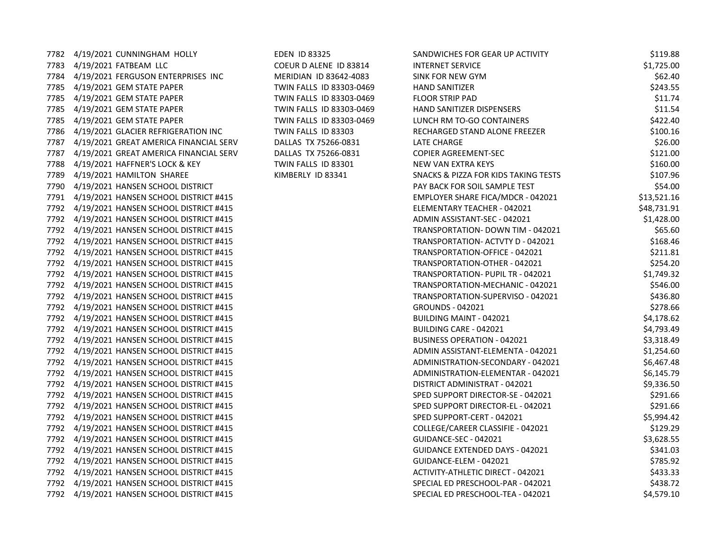7782 4/19/2021 CUNNINGHAM HOLLY EDEN ID 83325 SANDWICHES FOR GEAR UP ACTIVITY STOLEN ISSUED AT STOLEN BITTI 7783 4/19/2021 FATBEAM LLC COEUR D ALENE ID 83814 INTERNET SERVICE SERVICE SERVICE SERVICE SERVICE SERVICE SER 7784 4/19/2021 FERGUSON ENTERPRISES INC MERIDIAN ID 83642-4083 S 7785 4/19/2021 GEM STATE PAPER TWIN FALLS ID 83303-0469 7785 4/19/2021 GEM STATE PAPER TWIN FALLS ID 83303-0469 7785 4/19/2021 GEM STATE PAPER TWIN FALLS ID 83303-0469 7785 4/19/2021 GEM STATE PAPER TWIN FALLS ID 83303-0469 7786 4/19/2021 GLACIER REFRIGERATION INC TWIN FALLS ID 83303 7787 4/19/2021 GREAT AMERICA FINANCIAL SERV DALLAS TX 75266-0831 L 7787 4/19/2021 GREAT AMERICA FINANCIAL SERV DALLAS TX 75266-0831 COPIER AGREEMENT-SEC \$121.00 7788 4/19/2021 HAFFNER'S LOCK & KEY **TWIN FALLS ID 83301** N 7789 4/19/2021 HAMILTON SHAREE KIMBERLY ID 83341 7790 4/19/2021 HANSEN SCHOOL DISTRICT BACK FOR SOLUTION SAMPLE TEST \$54.000 PAY BACK FOR SOLUTION SAMPLE TEST \$54.000 7791 4/19/2021 HANSEN SCHOOL DISTRICT #415 7792 4/19/2021 HANSEN SCHOOL DISTRICT #415 7792 4/19/2021 HANSEN SCHOOL DISTRICT #415 7792 4/19/2021 HANSEN SCHOOL DISTRICT #415 7792 4/19/2021 HANSEN SCHOOL DISTRICT #415 7792 4/19/2021 HANSEN SCHOOL DISTRICT #415 7792 4/19/2021 HANSEN SCHOOL DISTRICT #415 7792 4/19/2021 HANSEN SCHOOL DISTRICT #415 7792 4/19/2021 HANSEN SCHOOL DISTRICT #415 7792 4/19/2021 HANSEN SCHOOL DISTRICT #415 7792 4/19/2021 HANSEN SCHOOL DISTRICT #415 7792 4/19/2021 HANSEN SCHOOL DISTRICT #415 7792 4/19/2021 HANSEN SCHOOL DISTRICT #415 7792 4/19/2021 HANSEN SCHOOL DISTRICT #415 7792 4/19/2021 HANSEN SCHOOL DISTRICT #415 7792 4/19/2021 HANSEN SCHOOL DISTRICT #415 7792 4/19/2021 HANSEN SCHOOL DISTRICT #415 7792 4/19/2021 HANSEN SCHOOL DISTRICT #415 7792 4/19/2021 HANSEN SCHOOL DISTRICT #415 7792 4/19/2021 HANSEN SCHOOL DISTRICT #415 7792 4/19/2021 HANSEN SCHOOL DISTRICT #415 7792 4/19/2021 HANSEN SCHOOL DISTRICT #415 7792 4/19/2021 HANSEN SCHOOL DISTRICT #415 7792 4/19/2021 HANSEN SCHOOL DISTRICT #415 7792 4/19/2021 HANSEN SCHOOL DISTRICT #415 7792 4/19/2021 HANSEN SCHOOL DISTRICT #415 7792 4/19/2021 HANSEN SCHOOL DISTRICT #415 7792 4/19/2021 HANSEN SCHOOL DISTRICT #415

| <b>SANDWICHES FOR GEAR UP ACTIVITY</b>   | \$119.88    |
|------------------------------------------|-------------|
| <b>NTERNET SERVICE</b>                   | \$1,725.00  |
| SINK FOR NEW GYM                         | \$62.40     |
| HAND SANITIZER                           | \$243.55    |
| <b>LOOR STRIP PAD</b>                    | \$11.74     |
| <b>HAND SANITIZER DISPENSERS</b>         | \$11.54     |
| UNCH RM TO-GO CONTAINERS                 | \$422.40    |
| RECHARGED STAND ALONE FREEZER            | \$100.16    |
| ATE CHARGE                               | \$26.00     |
| COPIER AGREEMENT-SEC                     | \$121.00    |
| <b>NEW VAN EXTRA KEYS</b>                | \$160.00    |
| SNACKS & PIZZA FOR KIDS TAKING TESTS     | \$107.96    |
| PAY BACK FOR SOIL SAMPLE TEST            | \$54.00     |
| MPLOYER SHARE FICA/MDCR - 042021         | \$13,521.16 |
| <b>LEMENTARY TEACHER - 042021</b>        | \$48,731.91 |
| ADMIN ASSISTANT-SEC - 042021             | \$1,428.00  |
| <b>FRANSPORTATION- DOWN TIM - 042021</b> | \$65.60     |
| <b>FRANSPORTATION- ACTVTY D - 042021</b> | \$168.46    |
| <b>FRANSPORTATION-OFFICE - 042021</b>    | \$211.81    |
| FRANSPORTATION-OTHER - 042021            | \$254.20    |
| FRANSPORTATION- PUPIL TR - 042021        | \$1,749.32  |
| <b>FRANSPORTATION-MECHANIC - 042021</b>  | \$546.00    |
| <b>FRANSPORTATION-SUPERVISO - 042021</b> | \$436.80    |
| GROUNDS - 042021                         | \$278.66    |
| <b>BUILDING MAINT - 042021</b>           | \$4,178.62  |
| 3UILDING CARE - 042021                   | \$4,793.49  |
| BUSINESS OPERATION - 042021              | \$3,318.49  |
| ADMIN ASSISTANT-ELEMENTA - 042021        | \$1,254.60  |
| ADMINISTRATION-SECONDARY - 042021        | \$6,467.48  |
| ADMINISTRATION-ELEMENTAR - 042021        | \$6,145.79  |
| DISTRICT ADMINISTRAT - 042021            | \$9,336.50  |
| SPED SUPPORT DIRECTOR-SE - 042021        | \$291.66    |
| SPED SUPPORT DIRECTOR-EL - 042021        | \$291.66    |
| SPED SUPPORT-CERT - 042021               | \$5,994.42  |
| COLLEGE/CAREER CLASSIFIE - 042021        | \$129.29    |
| GUIDANCE-SEC - 042021                    | \$3,628.55  |
| <b>GUIDANCE EXTENDED DAYS - 042021</b>   | \$341.03    |
| GUIDANCE-ELEM - 042021                   | \$785.92    |
| ACTIVITY-ATHLETIC DIRECT - 042021        | \$433.33    |
| SPECIAL ED PRESCHOOL-PAR - 042021        | \$438.72    |
| SPECIAL ED PRESCHOOL-TEA - 042021        | \$4,579.10  |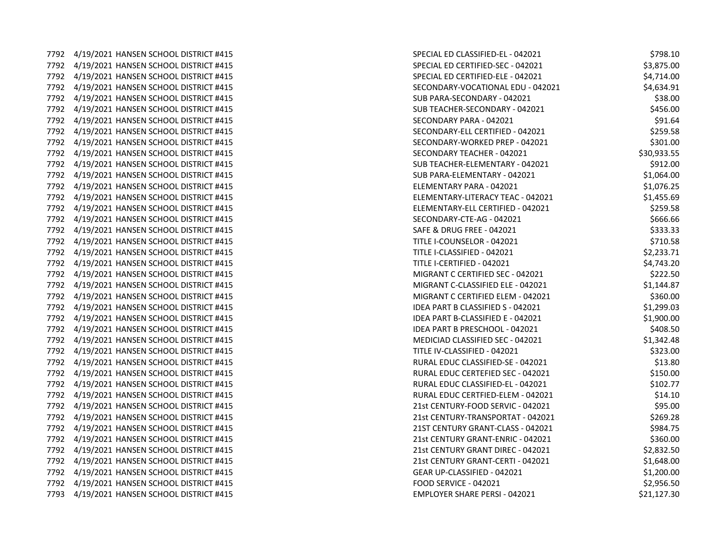7792 4/19/2021 HANSEN SCHOOL DISTRICT #415 SPECIAL ED CLASSIFIED-EL - 042021 \$798.10 7792 4/19/2021 HANSEN SCHOOL DISTRICT #415 SPECIAL ED CERTIFIED-SECTION STECHAL EDGE 7792 4/19/2021 HANSEN SCHOOL DISTRICT #415 SPECIAL ED CERTIFIED-ELE - 042021 \$4,714.00 7792 4/19/2021 HANSEN SCHOOL DISTRICT #415 7792 4/19/2021 HANSEN SCHOOL DISTRICT #415 7792 4/19/2021 HANSEN SCHOOL DISTRICT #415 7792 4/19/2021 HANSEN SCHOOL DISTRICT #415 SECONDARY PARA - 0421.642021 \$91.642021 \$91.642021 \$91.642021 \$91.6420 7792 4/19/2021 HANSEN SCHOOL DISTRICT #415 7792 4/19/2021 HANSEN SCHOOL DISTRICT #415 SECONDARY-WORKER SCHOOL STRICT #415 7792 4/19/2021 HANSEN SCHOOL DISTRICT #415 7792 4/19/2021 HANSEN SCHOOL DISTRICT #415 SUB TEACHERS AND TEACHER-ELEMENTARY SUB-7792 4/19/2021 HANSEN SCHOOL DISTRICT #415 SUBMANISTIC PARA-ELEMENTARY STRING 7792 4/19/2021 HANSEN SCHOOL DISTRICT #415 ELEMENTARY PARA - 04214 ELEMENTARY PARA - 042021 \$1,076.257.257.25 7792 4/19/2021 HANSEN SCHOOL DISTRICT #415 ELEMENTARY-LITERACY TEACHERSACK FEBRUARY-LITERACY TEACHERSACK FEBRUARY 7792 4/19/2021 HANSEN SCHOOL DISTRICT #415 ELEMENTARY-ELEMENTARY-ELEMENTARY-ELEMENTARY-ELEMENTARY-EL 7792 4/19/2021 HANSEN SCHOOL DISTRICT #415 7792 4/19/2021 HANSEN SCHOOL DISTRICT #415 SAFE - 042021 \$333.33 7792 4/19/2021 HANSEN SCHOOL DISTRICT #415 7792 4/19/2021 HANSEN SCHOOL DISTRICT #415 7792 4/19/2021 HANSEN SCHOOL DISTRICT #415 7792 4/19/2021 HANSEN SCHOOL DISTRICT #415 MIGRANT C CERTIFIED SECTION OF DISTRICT SECTION SECTION OF DISTRICT 7792 4/19/2021 HANSEN SCHOOL DISTRICT #415 MIGRANT C-CLASSIFIED ELEMENT CO-CLASSIFIED IN THE STATE OF DISTRICT 7792 4/19/2021 HANSEN SCHOOL DISTRICT #415 MIGRANT C CERTIFIED IN THE ORDER OF DISTRICT AND THE ORDER OF DISTR 7792 4/19/2021 HANSEN SCHOOL DISTRICT #415 7792 4/19/2021 HANSEN SCHOOL DISTRICT #415 7792 4/19/2021 HANSEN SCHOOL DISTRICT #415 7792 4/19/2021 HANSEN SCHOOL DISTRICT #415 7792 4/19/2021 HANSEN SCHOOL DISTRICT #415 7792 4/19/2021 HANSEN SCHOOL DISTRICT #415 RURAL EDUC CLASSIFIED-SE - 042021 \$13.800 \$14.800 \$14.800 \$14.800 \$ 7792 4/19/2021 HANSEN SCHOOL DISTRICT #415 7792 4/19/2021 HANSEN SCHOOL DISTRICT #415 7792 4/19/2021 HANSEN SCHOOL DISTRICT #415 7792 4/19/2021 HANSEN SCHOOL DISTRICT #415 7792 4/19/2021 HANSEN SCHOOL DISTRICT #415 7792 4/19/2021 HANSEN SCHOOL DISTRICT #415 7792 4/19/2021 HANSEN SCHOOL DISTRICT #415 7792 4/19/2021 HANSEN SCHOOL DISTRICT #415 7792 4/19/2021 HANSEN SCHOOL DISTRICT #415 7792 4/19/2021 HANSEN SCHOOL DISTRICT #415 GEAR UP-CLASSIFIED - 042021 \$1,200.0000000000000000000000000000000 7792 4/19/2021 HANSEN SCHOOL DISTRICT #415 FOOD SERVICE SERVICE SERVICE SERVICE SERVICE SERVICE SERVICE SERVICE S 7793 4/19/2021 HANSEN SCHOOL DISTRICT #415 EMPLOYER SHARE PERSI - 042021 \$21,127.93

| SPECIAL ED CLASSIFIED-EL - 042021        | \$798.10    |
|------------------------------------------|-------------|
| SPECIAL ED CERTIFIED-SEC - 042021        | \$3,875.00  |
| SPECIAL ED CERTIFIED-ELE - 042021        | \$4,714.00  |
| ECONDARY-VOCATIONAL EDU - 042021         | \$4,634.91  |
| <b>SUB PARA-SECONDARY - 042021</b>       | \$38.00     |
| <b>SUB TEACHER-SECONDARY - 042021</b>    | \$456.00    |
| SECONDARY PARA - 042021                  | \$91.64     |
| <b>SECONDARY-ELL CERTIFIED - 042021</b>  | \$259.58    |
| <b>SECONDARY-WORKED PREP - 042021</b>    | \$301.00    |
| <b>SECONDARY TEACHER - 042021</b>        | \$30,933.55 |
| SUB TEACHER-ELEMENTARY - 042021          | \$912.00    |
| SUB PARA-ELEMENTARY - 042021             | \$1,064.00  |
| <b>LEMENTARY PARA - 042021</b>           | \$1,076.25  |
| <b>ELEMENTARY-LITERACY TEAC - 042021</b> | \$1,455.69  |
| LEMENTARY-ELL CERTIFIED - 042021         | \$259.58    |
| SECONDARY-CTE-AG - 042021                | \$666.66    |
| <b>SAFE &amp; DRUG FREE - 042021</b>     | \$333.33    |
| <b>ITLE I-COUNSELOR - 042021</b>         | \$710.58    |
| <b>TITLE I-CLASSIFIED - 042021</b>       | \$2,233.71  |
| TITLE I-CERTIFIED - 042021               | \$4,743.20  |
| MIGRANT C CERTIFIED SEC - 042021         | \$222.50    |
| MIGRANT C-CLASSIFIED ELE - 042021        | \$1,144.87  |
| MIGRANT C CERTIFIED ELEM - 042021        | \$360.00    |
| DEA PART B CLASSIFIED S - 042021         | \$1,299.03  |
| DEA PART B-CLASSIFIED E - 042021         | \$1,900.00  |
| DEA PART B PRESCHOOL - 042021            | \$408.50    |
| <b>MEDICIAD CLASSIFIED SEC - 042021</b>  | \$1,342.48  |
| TITLE IV-CLASSIFIED - 042021             | \$323.00    |
| RURAL EDUC CLASSIFIED-SE - 042021        | \$13.80     |
| RURAL EDUC CERTEFIED SEC - 042021        | \$150.00    |
| RURAL EDUC CLASSIFIED-EL - 042021        | \$102.77    |
| RURAL EDUC CERTFIED-ELEM - 042021        | \$14.10     |
| 21st CENTURY-FOOD SERVIC - 042021        | \$95.00     |
| 21st CENTURY-TRANSPORTAT - 042021        | \$269.28    |
| 21ST CENTURY GRANT-CLASS - 042021        | \$984.75    |
| 21st CENTURY GRANT-ENRIC - 042021        | \$360.00    |
| 21st CENTURY GRANT DIREC - 042021        | \$2,832.50  |
| 21st CENTURY GRANT-CERTI - 042021        | \$1,648.00  |
| GEAR UP-CLASSIFIED - 042021              | \$1,200.00  |
| OOD SERVICE - 042021                     | \$2,956.50  |
| MPLOYER SHARE PERSI - 042021             | \$21,127.30 |
|                                          |             |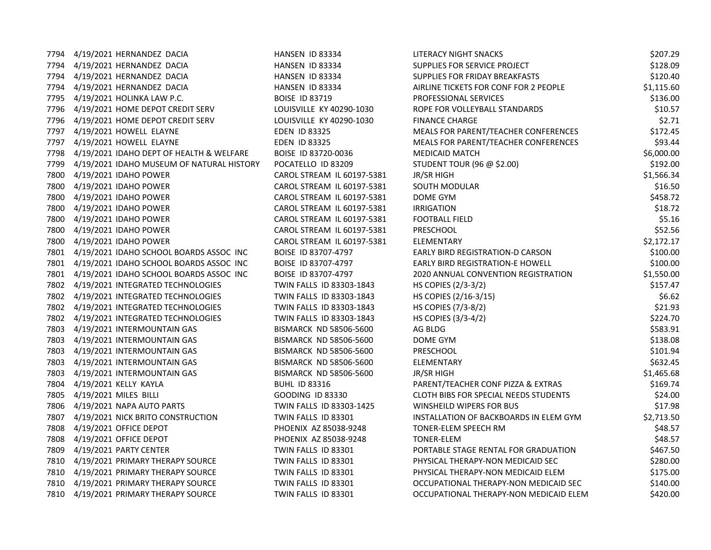| 7794 | 4/19/2021 HERNANDEZ DACIA                 | HANSEN ID 83334               | LITERACY NIGHT SNACKS                  | \$207.29   |
|------|-------------------------------------------|-------------------------------|----------------------------------------|------------|
| 7794 | 4/19/2021 HERNANDEZ DACIA                 | HANSEN ID 83334               | SUPPLIES FOR SERVICE PROJECT           | \$128.09   |
| 7794 | 4/19/2021 HERNANDEZ DACIA                 | HANSEN ID 83334               | SUPPLIES FOR FRIDAY BREAKFASTS         | \$120.40   |
| 7794 | 4/19/2021 HERNANDEZ DACIA                 | HANSEN ID 83334               | AIRLINE TICKETS FOR CONF FOR 2 PEOPLE  | \$1,115.60 |
|      | 7795 4/19/2021 HOLINKA LAW P.C.           | <b>BOISE ID 83719</b>         | PROFESSIONAL SERVICES                  | \$136.00   |
|      | 7796 4/19/2021 HOME DEPOT CREDIT SERV     | LOUISVILLE KY 40290-1030      | ROPE FOR VOLLEYBALL STANDARDS          | \$10.57    |
|      | 7796 4/19/2021 HOME DEPOT CREDIT SERV     | LOUISVILLE KY 40290-1030      | <b>FINANCE CHARGE</b>                  | \$2.71     |
| 7797 | 4/19/2021 HOWELL ELAYNE                   | EDEN ID 83325                 | MEALS FOR PARENT/TEACHER CONFERENCES   | \$172.45   |
| 7797 | 4/19/2021 HOWELL ELAYNE                   | <b>EDEN ID 83325</b>          | MEALS FOR PARENT/TEACHER CONFERENCES   | \$93.44    |
| 7798 | 4/19/2021 IDAHO DEPT OF HEALTH & WELFARE  | BOISE ID 83720-0036           | <b>MEDICAID MATCH</b>                  | \$6,000.00 |
| 7799 | 4/19/2021 IDAHO MUSEUM OF NATURAL HISTORY | POCATELLO ID 83209            | STUDENT TOUR (96 @ \$2.00)             | \$192.00   |
|      | 7800 4/19/2021 IDAHO POWER                | CAROL STREAM IL 60197-5381    | JR/SR HIGH                             | \$1,566.34 |
| 7800 | 4/19/2021 IDAHO POWER                     | CAROL STREAM IL 60197-5381    | SOUTH MODULAR                          | \$16.50    |
| 7800 | 4/19/2021 IDAHO POWER                     | CAROL STREAM IL 60197-5381    | DOME GYM                               | \$458.72   |
| 7800 | 4/19/2021 IDAHO POWER                     | CAROL STREAM IL 60197-5381    | <b>IRRIGATION</b>                      | \$18.72    |
| 7800 | 4/19/2021 IDAHO POWER                     | CAROL STREAM IL 60197-5381    | <b>FOOTBALL FIELD</b>                  | \$5.16     |
|      | 7800 4/19/2021 IDAHO POWER                | CAROL STREAM IL 60197-5381    | PRESCHOOL                              | \$52.56    |
| 7800 | 4/19/2021 IDAHO POWER                     | CAROL STREAM IL 60197-5381    | ELEMENTARY                             | \$2,172.17 |
| 7801 | 4/19/2021 IDAHO SCHOOL BOARDS ASSOC INC   | BOISE ID 83707-4797           | EARLY BIRD REGISTRATION-D CARSON       | \$100.00   |
| 7801 | 4/19/2021 IDAHO SCHOOL BOARDS ASSOC INC   | BOISE ID 83707-4797           | EARLY BIRD REGISTRATION-E HOWELL       | \$100.00   |
| 7801 | 4/19/2021 IDAHO SCHOOL BOARDS ASSOC INC   | BOISE ID 83707-4797           | 2020 ANNUAL CONVENTION REGISTRATION    | \$1,550.00 |
|      | 7802 4/19/2021 INTEGRATED TECHNOLOGIES    | TWIN FALLS ID 83303-1843      | HS COPIES (2/3-3/2)                    | \$157.47   |
|      | 7802 4/19/2021 INTEGRATED TECHNOLOGIES    | TWIN FALLS ID 83303-1843      | HS COPIES (2/16-3/15)                  | \$6.62     |
| 7802 | 4/19/2021 INTEGRATED TECHNOLOGIES         | TWIN FALLS ID 83303-1843      | HS COPIES (7/3-8/2)                    | \$21.93    |
| 7802 | 4/19/2021 INTEGRATED TECHNOLOGIES         | TWIN FALLS ID 83303-1843      | HS COPIES (3/3-4/2)                    | \$224.70   |
| 7803 | 4/19/2021 INTERMOUNTAIN GAS               | <b>BISMARCK ND 58506-5600</b> | AG BLDG                                | \$583.91   |
| 7803 | 4/19/2021 INTERMOUNTAIN GAS               | BISMARCK ND 58506-5600        | DOME GYM                               | \$138.08   |
| 7803 | 4/19/2021 INTERMOUNTAIN GAS               | <b>BISMARCK ND 58506-5600</b> | PRESCHOOL                              | \$101.94   |
| 7803 | 4/19/2021 INTERMOUNTAIN GAS               | <b>BISMARCK ND 58506-5600</b> | ELEMENTARY                             | \$632.45   |
| 7803 | 4/19/2021 INTERMOUNTAIN GAS               | BISMARCK ND 58506-5600        | JR/SR HIGH                             | \$1,465.68 |
| 7804 | 4/19/2021 KELLY KAYLA                     | <b>BUHL ID 83316</b>          | PARENT/TEACHER CONF PIZZA & EXTRAS     | \$169.74   |
| 7805 | 4/19/2021 MILES BILLI                     | <b>GOODING ID 83330</b>       | CLOTH BIBS FOR SPECIAL NEEDS STUDENTS  | \$24.00    |
| 7806 | 4/19/2021 NAPA AUTO PARTS                 | TWIN FALLS ID 83303-1425      | <b>WINSHEILD WIPERS FOR BUS</b>        | \$17.98    |
|      | 7807 4/19/2021 NICK BRITO CONSTRUCTION    | TWIN FALLS ID 83301           | INSTALLATION OF BACKBOARDS IN ELEM GYM | \$2,713.50 |
| 7808 | 4/19/2021 OFFICE DEPOT                    | PHOENIX AZ 85038-9248         | TONER-ELEM SPEECH RM                   | \$48.57    |
| 7808 | 4/19/2021 OFFICE DEPOT                    | PHOENIX AZ 85038-9248         | <b>TONER-ELEM</b>                      | \$48.57    |
| 7809 | 4/19/2021 PARTY CENTER                    | TWIN FALLS ID 83301           | PORTABLE STAGE RENTAL FOR GRADUATION   | \$467.50   |
| 7810 | 4/19/2021 PRIMARY THERAPY SOURCE          | TWIN FALLS ID 83301           | PHYSICAL THERAPY-NON MEDICAID SEC      | \$280.00   |
|      | 7810 4/19/2021 PRIMARY THERAPY SOURCE     | TWIN FALLS ID 83301           | PHYSICAL THERAPY-NON MEDICAID ELEM     | \$175.00   |
| 7810 | 4/19/2021 PRIMARY THERAPY SOURCE          | TWIN FALLS ID 83301           | OCCUPATIONAL THERAPY-NON MEDICAID SEC  | \$140.00   |
| 7810 | 4/19/2021 PRIMARY THERAPY SOURCE          | TWIN FALLS ID 83301           | OCCUPATIONAL THERAPY-NON MEDICAID ELEM | \$420.00   |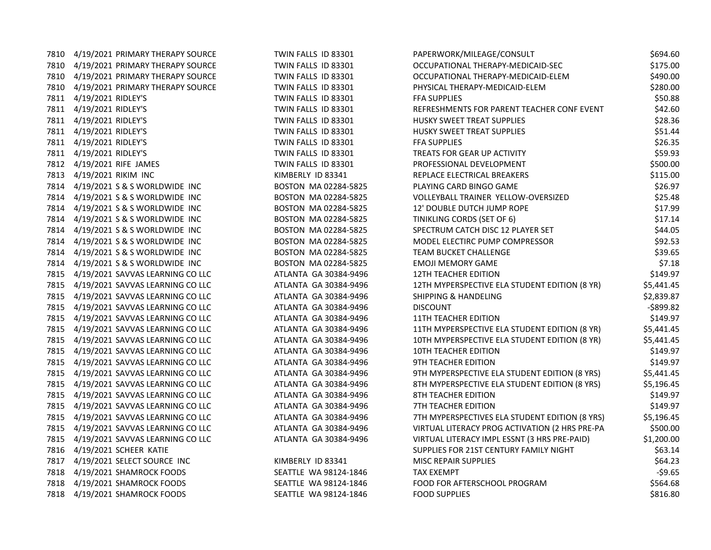|      | 7810 4/19/2021 PRIMARY THERAPY SOURCE | TWIN FALLS ID 83301   | PAPERWORK/MILEAGE/CONSULT                      | \$694.60     |
|------|---------------------------------------|-----------------------|------------------------------------------------|--------------|
| 7810 | 4/19/2021 PRIMARY THERAPY SOURCE      | TWIN FALLS ID 83301   | OCCUPATIONAL THERAPY-MEDICAID-SEC              | \$175.00     |
|      | 7810 4/19/2021 PRIMARY THERAPY SOURCE | TWIN FALLS ID 83301   | OCCUPATIONAL THERAPY-MEDICAID-ELEM             | \$490.00     |
|      | 7810 4/19/2021 PRIMARY THERAPY SOURCE | TWIN FALLS ID 83301   | PHYSICAL THERAPY-MEDICAID-ELEM                 | \$280.00     |
|      | 7811 4/19/2021 RIDLEY'S               | TWIN FALLS ID 83301   | <b>FFA SUPPLIES</b>                            | \$50.88      |
|      | 7811 4/19/2021 RIDLEY'S               | TWIN FALLS ID 83301   | REFRESHMENTS FOR PARENT TEACHER CONF EVENT     | \$42.60      |
| 7811 | 4/19/2021 RIDLEY'S                    | TWIN FALLS ID 83301   | <b>HUSKY SWEET TREAT SUPPLIES</b>              | \$28.36      |
|      | 7811 4/19/2021 RIDLEY'S               | TWIN FALLS ID 83301   | HUSKY SWEET TREAT SUPPLIES                     | \$51.44      |
| 7811 | 4/19/2021 RIDLEY'S                    | TWIN FALLS ID 83301   | <b>FFA SUPPLIES</b>                            | \$26.35      |
|      | 7811 4/19/2021 RIDLEY'S               | TWIN FALLS ID 83301   | TREATS FOR GEAR UP ACTIVITY                    | \$59.93      |
|      | 7812 4/19/2021 RIFE JAMES             | TWIN FALLS ID 83301   | PROFESSIONAL DEVELOPMENT                       | \$500.00     |
| 7813 | 4/19/2021 RIKIM INC                   | KIMBERLY ID 83341     | REPLACE ELECTRICAL BREAKERS                    | \$115.00     |
| 7814 | 4/19/2021 S & S WORLDWIDE INC         | BOSTON MA 02284-5825  | PLAYING CARD BINGO GAME                        | \$26.97      |
| 7814 | 4/19/2021 S & S WORLDWIDE INC         | BOSTON MA 02284-5825  | VOLLEYBALL TRAINER YELLOW-OVERSIZED            | \$25.48      |
|      | 7814 4/19/2021 S & S WORLDWIDE INC    | BOSTON MA 02284-5825  | 12' DOUBLE DUTCH JUMP ROPE                     | \$17.99      |
|      | 7814 4/19/2021 S & S WORLDWIDE INC    | BOSTON MA 02284-5825  | TINIKLING CORDS (SET OF 6)                     | \$17.14      |
| 7814 | 4/19/2021 S & S WORLDWIDE INC         | BOSTON MA 02284-5825  | SPECTRUM CATCH DISC 12 PLAYER SET              | \$44.05      |
| 7814 | 4/19/2021 S & S WORLDWIDE INC         | BOSTON MA 02284-5825  | MODEL ELECTIRC PUMP COMPRESSOR                 | \$92.53      |
| 7814 | 4/19/2021 S & S WORLDWIDE INC         | BOSTON MA 02284-5825  | <b>TEAM BUCKET CHALLENGE</b>                   | \$39.65      |
| 7814 | 4/19/2021 S & S WORLDWIDE INC         | BOSTON MA 02284-5825  | <b>EMOJI MEMORY GAME</b>                       | \$7.18       |
|      | 7815 4/19/2021 SAVVAS LEARNING CO LLC | ATLANTA GA 30384-9496 | <b>12TH TEACHER EDITION</b>                    | \$149.97     |
| 7815 | 4/19/2021 SAVVAS LEARNING CO LLC      | ATLANTA GA 30384-9496 | 12TH MYPERSPECTIVE ELA STUDENT EDITION (8 YR)  | \$5,441.45   |
| 7815 | 4/19/2021 SAVVAS LEARNING CO LLC      | ATLANTA GA 30384-9496 | <b>SHIPPING &amp; HANDELING</b>                | \$2,839.87   |
| 7815 | 4/19/2021 SAVVAS LEARNING CO LLC      | ATLANTA GA 30384-9496 | <b>DISCOUNT</b>                                | $-$ \$899.82 |
|      | 7815 4/19/2021 SAVVAS LEARNING CO LLC | ATLANTA GA 30384-9496 | <b>11TH TEACHER EDITION</b>                    | \$149.97     |
|      | 7815 4/19/2021 SAVVAS LEARNING CO LLC | ATLANTA GA 30384-9496 | 11TH MYPERSPECTIVE ELA STUDENT EDITION (8 YR)  | \$5,441.45   |
| 7815 | 4/19/2021 SAVVAS LEARNING CO LLC      | ATLANTA GA 30384-9496 | 10TH MYPERSPECTIVE ELA STUDENT EDITION (8 YR)  | \$5,441.45   |
| 7815 | 4/19/2021 SAVVAS LEARNING CO LLC      | ATLANTA GA 30384-9496 | 10TH TEACHER EDITION                           | \$149.97     |
| 7815 | 4/19/2021 SAVVAS LEARNING CO LLC      | ATLANTA GA 30384-9496 | 9TH TEACHER EDITION                            | \$149.97     |
| 7815 | 4/19/2021 SAVVAS LEARNING CO LLC      | ATLANTA GA 30384-9496 | 9TH MYPERSPECTIVE ELA STUDENT EDITION (8 YRS)  | \$5,441.45   |
|      | 7815 4/19/2021 SAVVAS LEARNING CO LLC | ATLANTA GA 30384-9496 | 8TH MYPERSPECTIVE ELA STUDENT EDITION (8 YRS)  | \$5,196.45   |
| 7815 | 4/19/2021 SAVVAS LEARNING CO LLC      | ATLANTA GA 30384-9496 | 8TH TEACHER EDITION                            | \$149.97     |
| 7815 | 4/19/2021 SAVVAS LEARNING CO LLC      | ATLANTA GA 30384-9496 | <b>7TH TEACHER EDITION</b>                     | \$149.97     |
| 7815 | 4/19/2021 SAVVAS LEARNING CO LLC      | ATLANTA GA 30384-9496 | 7TH MYPERSPECTIVES ELA STUDENT EDITION (8 YRS) | \$5,196.45   |
| 7815 | 4/19/2021 SAVVAS LEARNING CO LLC      | ATLANTA GA 30384-9496 | VIRTUAL LITERACY PROG ACTIVATION (2 HRS PRE-PA | \$500.00     |
|      | 7815 4/19/2021 SAVVAS LEARNING CO LLC | ATLANTA GA 30384-9496 | VIRTUAL LITERACY IMPL ESSNT (3 HRS PRE-PAID)   | \$1,200.00   |
|      | 7816 4/19/2021 SCHEER KATIE           |                       | SUPPLIES FOR 21ST CENTURY FAMILY NIGHT         | \$63.14      |
| 7817 | 4/19/2021 SELECT SOURCE INC           | KIMBERLY ID 83341     | <b>MISC REPAIR SUPPLIES</b>                    | \$64.23      |
| 7818 | 4/19/2021 SHAMROCK FOODS              | SEATTLE WA 98124-1846 | <b>TAX EXEMPT</b>                              | $-59.65$     |
| 7818 | 4/19/2021 SHAMROCK FOODS              | SEATTLE WA 98124-1846 | FOOD FOR AFTERSCHOOL PROGRAM                   | \$564.68     |
|      | 7818 4/19/2021 SHAMROCK FOODS         | SEATTLE WA 98124-1846 | <b>FOOD SUPPLIES</b>                           | \$816.80     |
|      |                                       |                       |                                                |              |